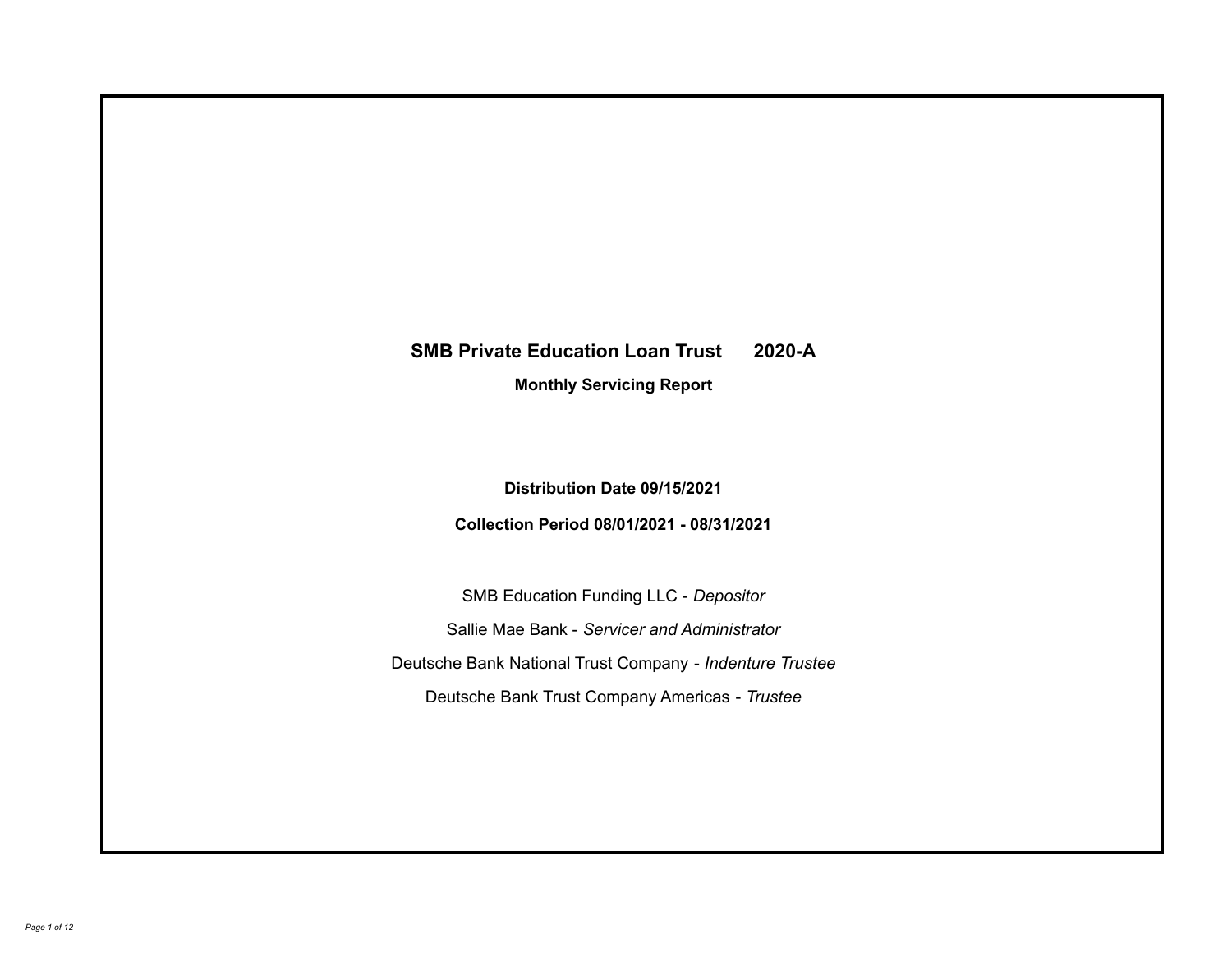# **SMB Private Education Loan Trust 2020-A**

**Monthly Servicing Report**

**Distribution Date 09/15/2021**

**Collection Period 08/01/2021 - 08/31/2021**

SMB Education Funding LLC - *Depositor* Sallie Mae Bank - *Servicer and Administrator* Deutsche Bank National Trust Company - *Indenture Trustee* Deutsche Bank Trust Company Americas - *Trustee*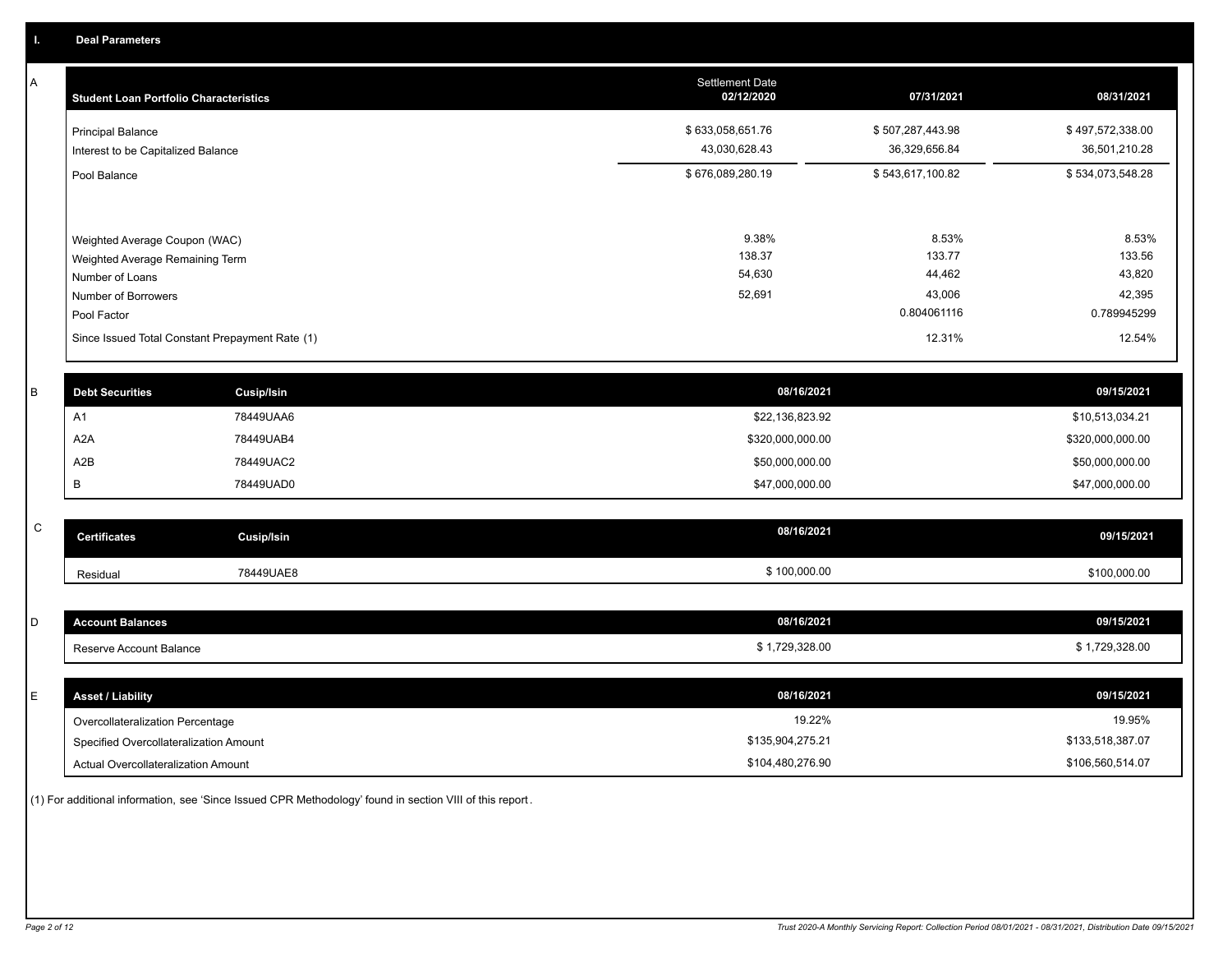A

| <b>Student Loan Portfolio Characteristics</b>                                       | <b>Settlement Date</b><br>02/12/2020 | 07/31/2021                          | 08/31/2021                          |
|-------------------------------------------------------------------------------------|--------------------------------------|-------------------------------------|-------------------------------------|
| <b>Principal Balance</b><br>Interest to be Capitalized Balance                      | \$633,058,651.76<br>43,030,628.43    | \$507,287,443.98<br>36,329,656.84   | \$497,572,338.00<br>36,501,210.28   |
| Pool Balance                                                                        | \$676,089,280.19                     | \$543,617,100.82                    | \$534,073,548.28                    |
| Weighted Average Coupon (WAC)<br>Weighted Average Remaining Term<br>Number of Loans | 9.38%<br>138.37<br>54,630<br>52,691  | 8.53%<br>133.77<br>44,462<br>43,006 | 8.53%<br>133.56<br>43,820<br>42,395 |
| Number of Borrowers                                                                 |                                      |                                     |                                     |
| Pool Factor                                                                         |                                      | 0.804061116                         | 0.789945299                         |
| Since Issued Total Constant Prepayment Rate (1)                                     |                                      | 12.31%                              | 12.54%                              |

| <b>Debt Securities</b> | Cusip/Isin | 08/16/2021       | 09/15/2021       |
|------------------------|------------|------------------|------------------|
| A <sub>1</sub>         | 78449UAA6  | \$22,136,823.92  | \$10,513,034.21  |
| A2A                    | 78449UAB4  | \$320,000,000.00 | \$320,000,000.00 |
| A2B                    | 78449UAC2  | \$50,000,000.00  | \$50,000,000.00  |
|                        | 78449UAD0  | \$47,000,000.00  | \$47,000,000.00  |

| $\sim$<br>ີ | Certificates | Cusip/Isin | 08/16/2021   | 09/15/2021   |
|-------------|--------------|------------|--------------|--------------|
|             | Residual     | 78449UAE8  | \$100,000.00 | \$100,000.00 |

| D | <b>Account Balances</b>          | 08/16/2021     | 09/15/2021     |
|---|----------------------------------|----------------|----------------|
|   | Reserve Account Balance          | \$1,729,328.00 | \$1,729,328.00 |
|   |                                  |                |                |
| - | <b>Asset / Liability</b>         | 08/16/2021     | 09/15/2021     |
|   | Overcollateralization Percentage | 19.22%         | 19.95%         |

\$135,904,275.21

Actual Overcollateralization Amount \$104,480,276.90 Specified Overcollateralization Amount

(1) For additional information, see 'Since Issued CPR Methodology' found in section VIII of this report .

\$106,560,514.07 \$133,518,387.07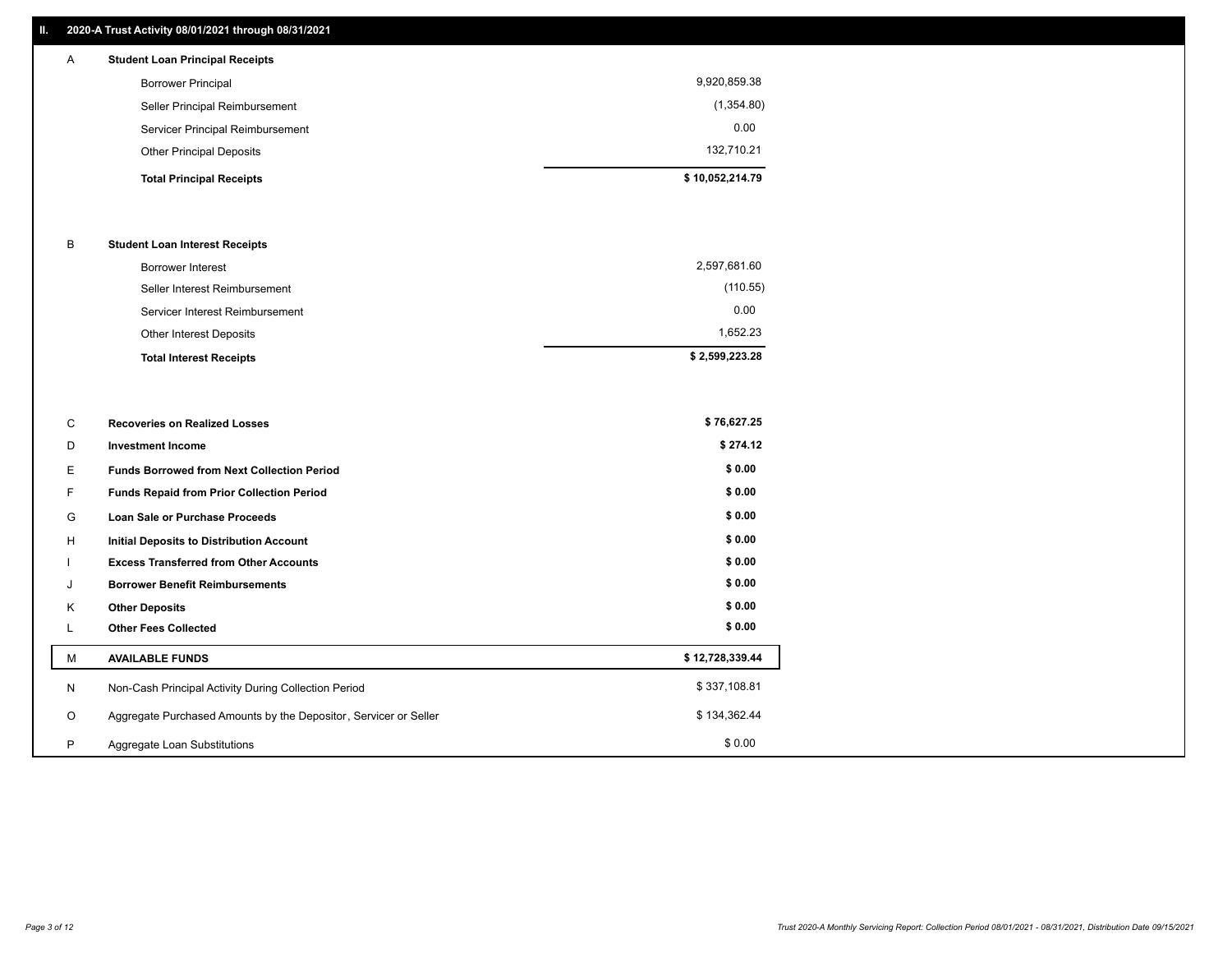## **II. 2020-A Trust Activity 08/01/2021 through 08/31/2021**

| A | <b>Student Loan Principal Receipts</b> |                 |
|---|----------------------------------------|-----------------|
|   | <b>Borrower Principal</b>              | 9,920,859.38    |
|   | Seller Principal Reimbursement         | (1,354.80)      |
|   | Servicer Principal Reimbursement       | 0.00            |
|   | <b>Other Principal Deposits</b>        | 132,710.21      |
|   | <b>Total Principal Receipts</b>        | \$10,052,214.79 |

#### B **Student Loan Interest Receipts**

| <b>Total Interest Receipts</b>  | \$2,599,223.28 |
|---------------------------------|----------------|
| Other Interest Deposits         | 1,652.23       |
| Servicer Interest Reimbursement | 0.00           |
| Seller Interest Reimbursement   | (110.55)       |
| <b>Borrower Interest</b>        | 2,597,681.60   |

| C       | <b>Recoveries on Realized Losses</b>                             | \$76,627.25     |
|---------|------------------------------------------------------------------|-----------------|
| D       | <b>Investment Income</b>                                         | \$274.12        |
| Е.      | <b>Funds Borrowed from Next Collection Period</b>                | \$0.00          |
| F.      | Funds Repaid from Prior Collection Period                        | \$0.00          |
| G       | Loan Sale or Purchase Proceeds                                   | \$0.00          |
| H       | Initial Deposits to Distribution Account                         | \$0.00          |
|         | <b>Excess Transferred from Other Accounts</b>                    | \$0.00          |
| J       | <b>Borrower Benefit Reimbursements</b>                           | \$0.00          |
| Κ       | <b>Other Deposits</b>                                            | \$0.00          |
|         | <b>Other Fees Collected</b>                                      | \$0.00          |
| м       | <b>AVAILABLE FUNDS</b>                                           | \$12,728,339.44 |
| N       | Non-Cash Principal Activity During Collection Period             | \$337,108.81    |
| $\circ$ | Aggregate Purchased Amounts by the Depositor, Servicer or Seller | \$134,362.44    |
| P       | Aggregate Loan Substitutions                                     | \$0.00          |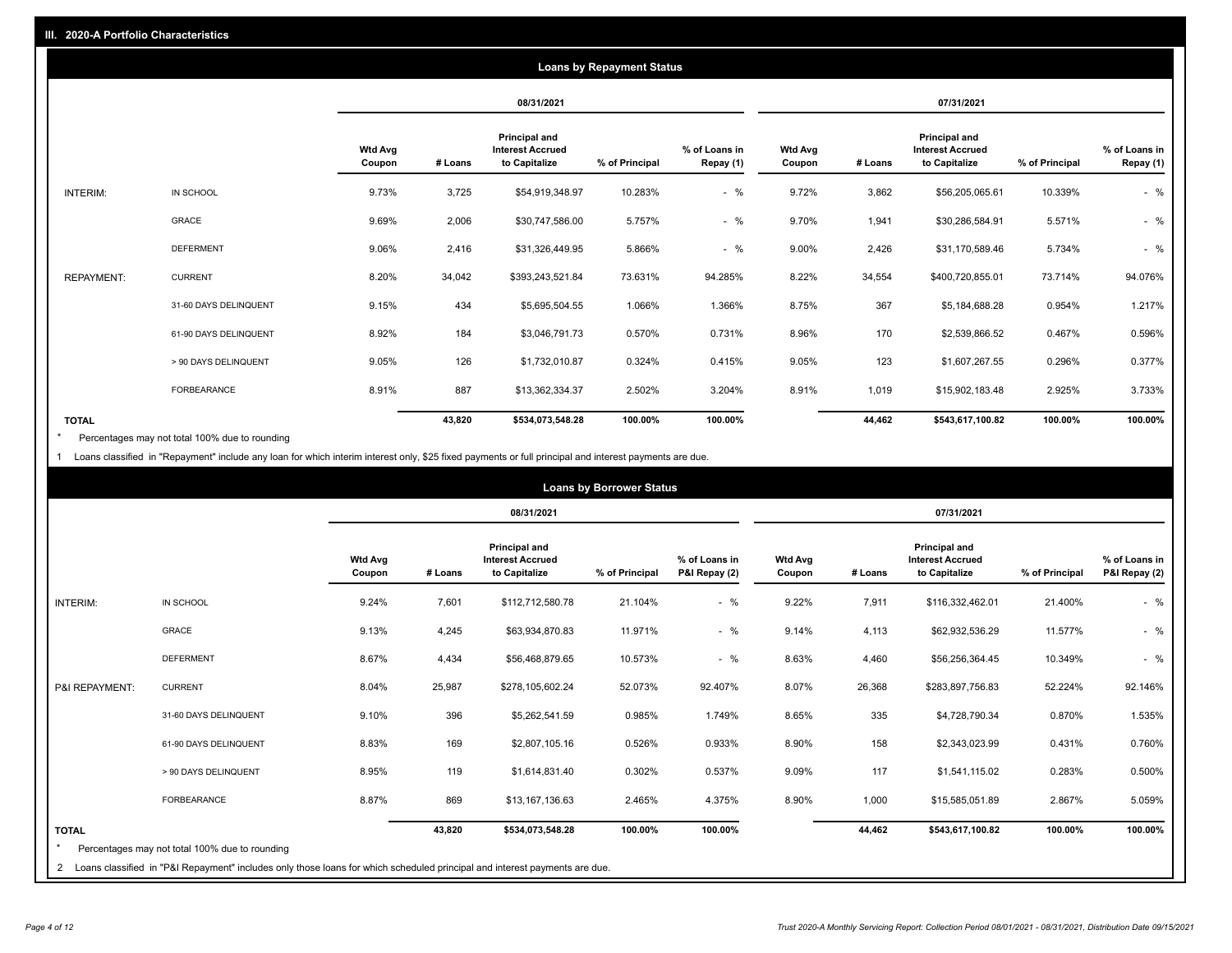|                   | <b>Loans by Repayment Status</b> |                          |            |                                                           |                |                            |                          |         |                                                           |                |                            |
|-------------------|----------------------------------|--------------------------|------------|-----------------------------------------------------------|----------------|----------------------------|--------------------------|---------|-----------------------------------------------------------|----------------|----------------------------|
|                   |                                  |                          | 08/31/2021 |                                                           |                | 07/31/2021                 |                          |         |                                                           |                |                            |
|                   |                                  | <b>Wtd Avg</b><br>Coupon | # Loans    | Principal and<br><b>Interest Accrued</b><br>to Capitalize | % of Principal | % of Loans in<br>Repay (1) | <b>Wtd Avg</b><br>Coupon | # Loans | Principal and<br><b>Interest Accrued</b><br>to Capitalize | % of Principal | % of Loans in<br>Repay (1) |
| INTERIM:          | IN SCHOOL                        | 9.73%                    | 3,725      | \$54,919,348.97                                           | 10.283%        | $-$ %                      | 9.72%                    | 3,862   | \$56,205,065.61                                           | 10.339%        | $-$ %                      |
|                   | GRACE                            | 9.69%                    | 2,006      | \$30,747,586.00                                           | 5.757%         | $-$ %                      | 9.70%                    | 1,941   | \$30,286,584.91                                           | 5.571%         | $-$ %                      |
|                   | <b>DEFERMENT</b>                 | 9.06%                    | 2,416      | \$31,326,449.95                                           | 5.866%         | $-$ %                      | 9.00%                    | 2,426   | \$31,170,589.46                                           | 5.734%         | $-$ %                      |
| <b>REPAYMENT:</b> | <b>CURRENT</b>                   | 8.20%                    | 34,042     | \$393,243,521.84                                          | 73.631%        | 94.285%                    | 8.22%                    | 34,554  | \$400,720,855.01                                          | 73.714%        | 94.076%                    |
|                   | 31-60 DAYS DELINQUENT            | 9.15%                    | 434        | \$5,695,504.55                                            | 1.066%         | 1.366%                     | 8.75%                    | 367     | \$5,184,688.28                                            | 0.954%         | 1.217%                     |
|                   | 61-90 DAYS DELINQUENT            | 8.92%                    | 184        | \$3,046,791.73                                            | 0.570%         | 0.731%                     | 8.96%                    | 170     | \$2,539,866.52                                            | 0.467%         | 0.596%                     |
|                   | > 90 DAYS DELINQUENT             | 9.05%                    | 126        | \$1,732,010.87                                            | 0.324%         | 0.415%                     | 9.05%                    | 123     | \$1,607,267.55                                            | 0.296%         | 0.377%                     |
|                   | <b>FORBEARANCE</b>               | 8.91%                    | 887        | \$13,362,334.37                                           | 2.502%         | 3.204%                     | 8.91%                    | 1,019   | \$15,902,183.48                                           | 2.925%         | 3.733%                     |
| <b>TOTAL</b>      |                                  |                          | 43,820     | \$534,073,548.28                                          | 100.00%        | 100.00%                    |                          | 44,462  | \$543,617,100.82                                          | 100.00%        | 100.00%                    |

Percentages may not total 100% due to rounding \*

1 Loans classified in "Repayment" include any loan for which interim interest only, \$25 fixed payments or full principal and interest payments are due.

|                 |                                                                                                                                                                                | <b>Loans by Borrower Status</b> |            |                                                                  |                |                                |                          |         |                                                           |                |                                |
|-----------------|--------------------------------------------------------------------------------------------------------------------------------------------------------------------------------|---------------------------------|------------|------------------------------------------------------------------|----------------|--------------------------------|--------------------------|---------|-----------------------------------------------------------|----------------|--------------------------------|
|                 |                                                                                                                                                                                |                                 | 08/31/2021 |                                                                  |                |                                | 07/31/2021               |         |                                                           |                |                                |
|                 |                                                                                                                                                                                | <b>Wtd Avg</b><br>Coupon        | # Loans    | <b>Principal and</b><br><b>Interest Accrued</b><br>to Capitalize | % of Principal | % of Loans in<br>P&I Repay (2) | <b>Wtd Avg</b><br>Coupon | # Loans | Principal and<br><b>Interest Accrued</b><br>to Capitalize | % of Principal | % of Loans in<br>P&I Repay (2) |
| <b>INTERIM:</b> | IN SCHOOL                                                                                                                                                                      | 9.24%                           | 7,601      | \$112,712,580.78                                                 | 21.104%        | $-$ %                          | 9.22%                    | 7,911   | \$116,332,462.01                                          | 21.400%        | $-$ %                          |
|                 | <b>GRACE</b>                                                                                                                                                                   | 9.13%                           | 4,245      | \$63,934,870.83                                                  | 11.971%        | $-$ %                          | 9.14%                    | 4,113   | \$62,932,536.29                                           | 11.577%        | $-$ %                          |
|                 | <b>DEFERMENT</b>                                                                                                                                                               | 8.67%                           | 4,434      | \$56,468,879.65                                                  | 10.573%        | $-$ %                          | 8.63%                    | 4,460   | \$56,256,364.45                                           | 10.349%        | $-$ %                          |
| P&I REPAYMENT:  | <b>CURRENT</b>                                                                                                                                                                 | 8.04%                           | 25,987     | \$278,105,602.24                                                 | 52.073%        | 92.407%                        | 8.07%                    | 26,368  | \$283,897,756.83                                          | 52.224%        | 92.146%                        |
|                 | 31-60 DAYS DELINQUENT                                                                                                                                                          | 9.10%                           | 396        | \$5,262,541.59                                                   | 0.985%         | 1.749%                         | 8.65%                    | 335     | \$4,728,790.34                                            | 0.870%         | 1.535%                         |
|                 | 61-90 DAYS DELINQUENT                                                                                                                                                          | 8.83%                           | 169        | \$2,807,105.16                                                   | 0.526%         | 0.933%                         | 8.90%                    | 158     | \$2,343,023.99                                            | 0.431%         | 0.760%                         |
|                 | > 90 DAYS DELINQUENT                                                                                                                                                           | 8.95%                           | 119        | \$1,614,831.40                                                   | 0.302%         | 0.537%                         | 9.09%                    | 117     | \$1,541,115.02                                            | 0.283%         | 0.500%                         |
|                 | <b>FORBEARANCE</b>                                                                                                                                                             | 8.87%                           | 869        | \$13,167,136.63                                                  | 2.465%         | 4.375%                         | 8.90%                    | 1,000   | \$15,585,051.89                                           | 2.867%         | 5.059%                         |
| <b>TOTAL</b>    | Percentages may not total 100% due to rounding<br>2 Loans classified in "P&I Repayment" includes only those loans for which scheduled principal and interest payments are due. |                                 | 43,820     | \$534,073,548.28                                                 | 100.00%        | 100.00%                        |                          | 44,462  | \$543,617,100.82                                          | 100.00%        | 100.00%                        |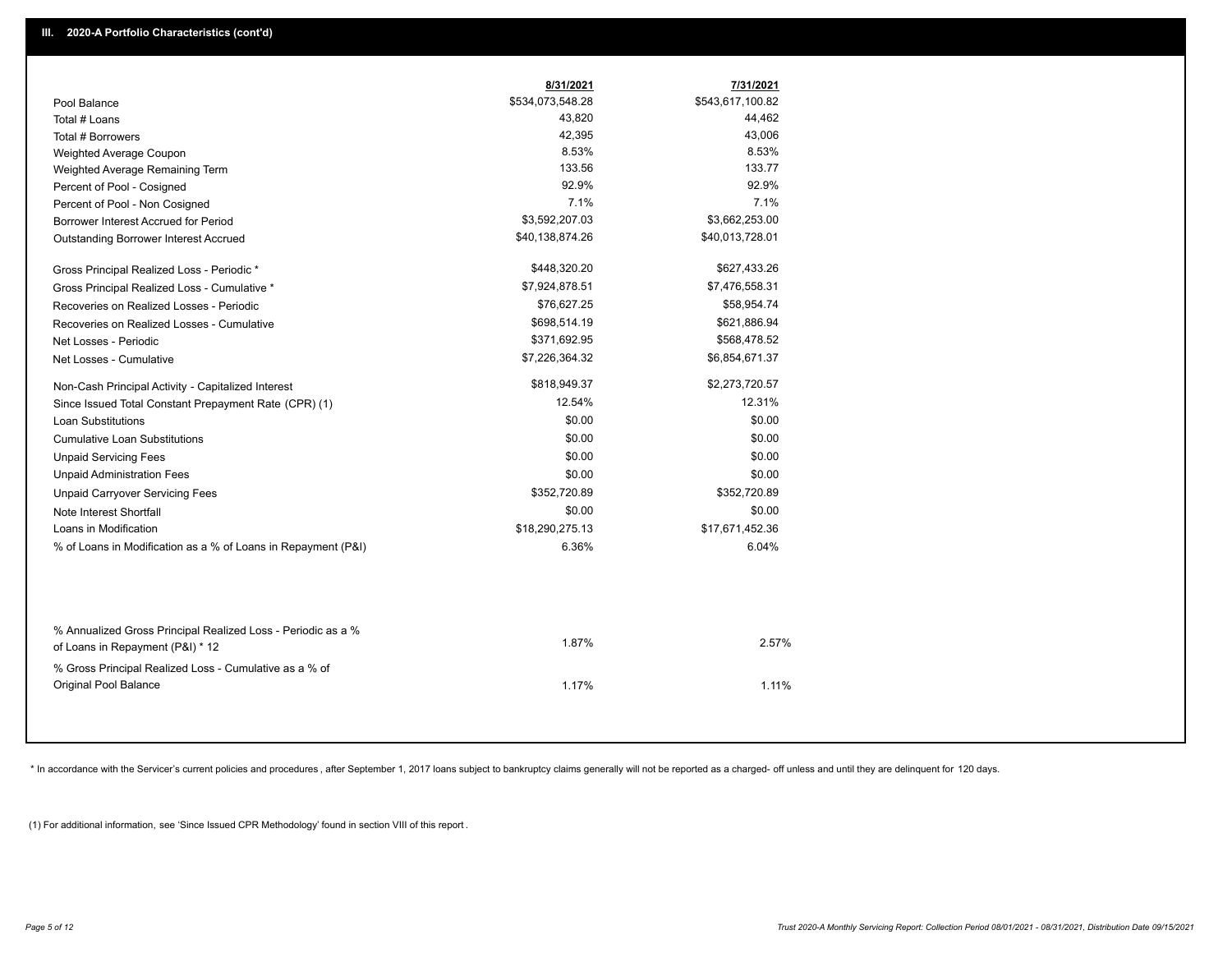|                                                               | 8/31/2021        | 7/31/2021        |
|---------------------------------------------------------------|------------------|------------------|
| Pool Balance                                                  | \$534,073,548.28 | \$543,617,100.82 |
| Total # Loans                                                 | 43,820           | 44,462           |
| Total # Borrowers                                             | 42,395           | 43,006           |
| Weighted Average Coupon                                       | 8.53%            | 8.53%            |
| Weighted Average Remaining Term                               | 133.56           | 133.77           |
| Percent of Pool - Cosigned                                    | 92.9%            | 92.9%            |
| Percent of Pool - Non Cosigned                                | 7.1%             | 7.1%             |
| Borrower Interest Accrued for Period                          | \$3,592,207.03   | \$3,662,253.00   |
| Outstanding Borrower Interest Accrued                         | \$40,138,874.26  | \$40,013,728.01  |
| Gross Principal Realized Loss - Periodic *                    | \$448,320.20     | \$627,433.26     |
| Gross Principal Realized Loss - Cumulative *                  | \$7,924,878.51   | \$7,476,558.31   |
| Recoveries on Realized Losses - Periodic                      | \$76,627.25      | \$58,954.74      |
| Recoveries on Realized Losses - Cumulative                    | \$698,514.19     | \$621,886.94     |
| Net Losses - Periodic                                         | \$371,692.95     | \$568,478.52     |
| Net Losses - Cumulative                                       | \$7,226,364.32   | \$6,854,671.37   |
| Non-Cash Principal Activity - Capitalized Interest            | \$818,949.37     | \$2,273,720.57   |
| Since Issued Total Constant Prepayment Rate (CPR) (1)         | 12.54%           | 12.31%           |
| <b>Loan Substitutions</b>                                     | \$0.00           | \$0.00           |
| <b>Cumulative Loan Substitutions</b>                          | \$0.00           | \$0.00           |
| <b>Unpaid Servicing Fees</b>                                  | \$0.00           | \$0.00           |
| <b>Unpaid Administration Fees</b>                             | \$0.00           | \$0.00           |
| <b>Unpaid Carryover Servicing Fees</b>                        | \$352,720.89     | \$352,720.89     |
| Note Interest Shortfall                                       | \$0.00           | \$0.00           |
| Loans in Modification                                         | \$18,290,275.13  | \$17,671,452.36  |
| % of Loans in Modification as a % of Loans in Repayment (P&I) | 6.36%            | 6.04%            |
|                                                               |                  |                  |
| % Annualized Gross Principal Realized Loss - Periodic as a %  | 1.87%            | 2.57%            |
| of Loans in Repayment (P&I) * 12                              |                  |                  |
| % Gross Principal Realized Loss - Cumulative as a % of        |                  |                  |
| Original Pool Balance                                         | 1.17%            | 1.11%            |

\* In accordance with the Servicer's current policies and procedures, after September 1, 2017 loans subject to bankruptcy claims generally will not be reported as a charged- off unless and until they are delinquent for 120

(1) For additional information, see 'Since Issued CPR Methodology' found in section VIII of this report .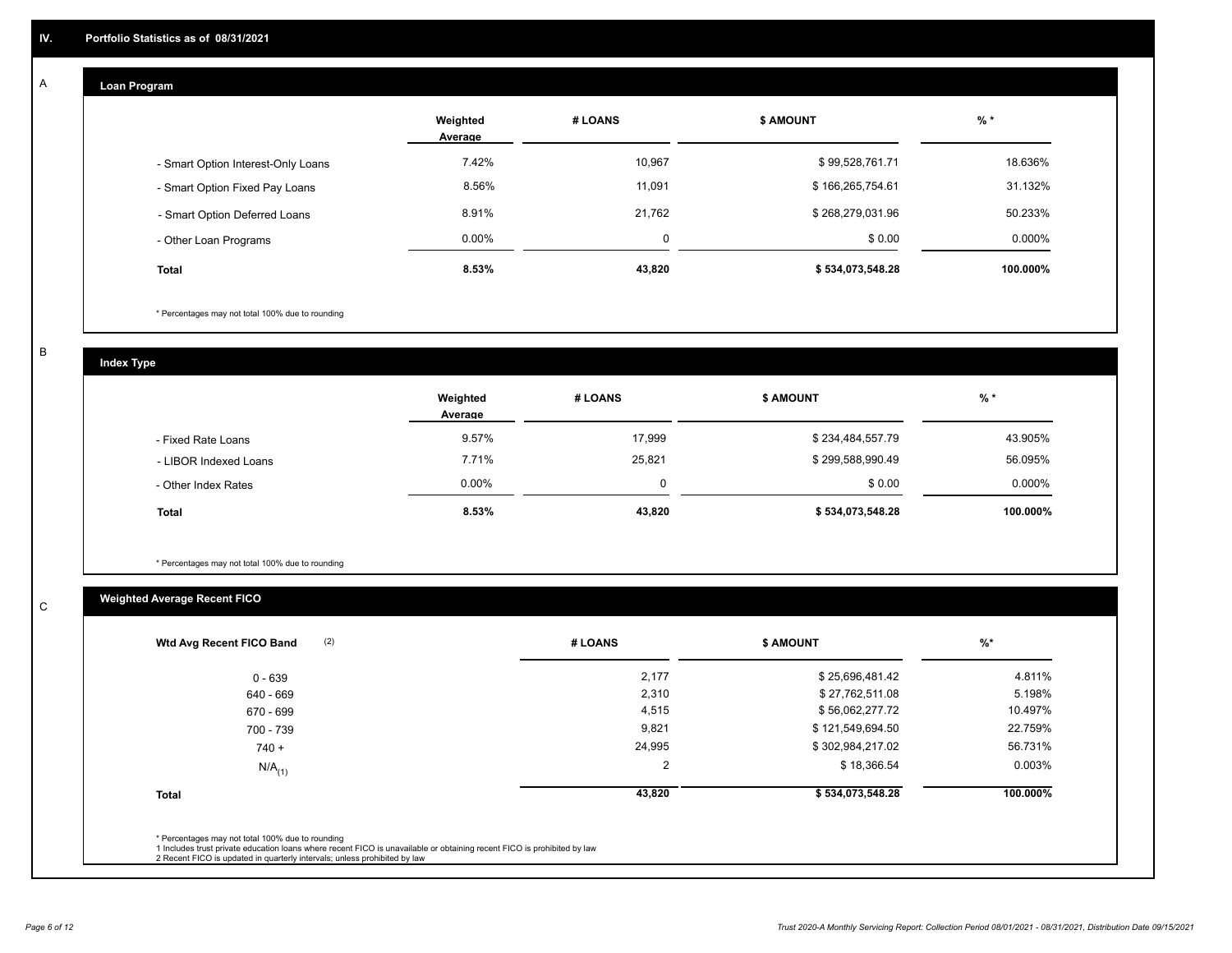## **Loan Program**

A

|                                    | Weighted<br>Average | # LOANS | <b>\$ AMOUNT</b> | $%$ *     |
|------------------------------------|---------------------|---------|------------------|-----------|
| - Smart Option Interest-Only Loans | 7.42%               | 10,967  | \$99,528,761.71  | 18.636%   |
| - Smart Option Fixed Pay Loans     | 8.56%               | 11,091  | \$166,265,754.61 | 31.132%   |
| - Smart Option Deferred Loans      | 8.91%               | 21.762  | \$268,279,031.96 | 50.233%   |
| - Other Loan Programs              | $0.00\%$            | 0       | \$0.00           | $0.000\%$ |
| <b>Total</b>                       | 8.53%               | 43,820  | \$534,073,548.28 | 100.000%  |

\* Percentages may not total 100% due to rounding

B

C

**Index Type**

|                       | Weighted<br>Average | # LOANS  | <b>\$ AMOUNT</b> | % *      |
|-----------------------|---------------------|----------|------------------|----------|
| - Fixed Rate Loans    | 9.57%               | 17,999   | \$234,484,557.79 | 43.905%  |
| - LIBOR Indexed Loans | 7.71%               | 25,821   | \$299,588,990.49 | 56.095%  |
| - Other Index Rates   | $0.00\%$            | $\Omega$ | \$0.00           | 0.000%   |
| <b>Total</b>          | 8.53%               | 43,820   | \$534,073,548.28 | 100.000% |

\* Percentages may not total 100% due to rounding

# **Weighted Average Recent FICO**

| (2)<br>Wtd Avg Recent FICO Band                                                                                                                                             | # LOANS | <b>\$ AMOUNT</b> | $%$ *    |
|-----------------------------------------------------------------------------------------------------------------------------------------------------------------------------|---------|------------------|----------|
| 0 - 639                                                                                                                                                                     | 2,177   | \$25,696,481.42  | 4.811%   |
| 640 - 669                                                                                                                                                                   | 2,310   | \$27,762,511.08  | 5.198%   |
| 670 - 699                                                                                                                                                                   | 4,515   | \$56,062,277.72  | 10.497%  |
| 700 - 739                                                                                                                                                                   | 9,821   | \$121,549,694.50 | 22.759%  |
| $740 +$                                                                                                                                                                     | 24,995  | \$302,984,217.02 | 56.731%  |
| $N/A$ <sub>(1)</sub>                                                                                                                                                        | 2       | \$18,366.54      | 0.003%   |
| <b>Total</b>                                                                                                                                                                | 43,820  | \$534,073,548.28 | 100.000% |
| * Percentages may not total 100% due to rounding<br>1 Includes trust private education loans where recent FICO is unavailable or obtaining recent FICO is prohibited by law |         |                  |          |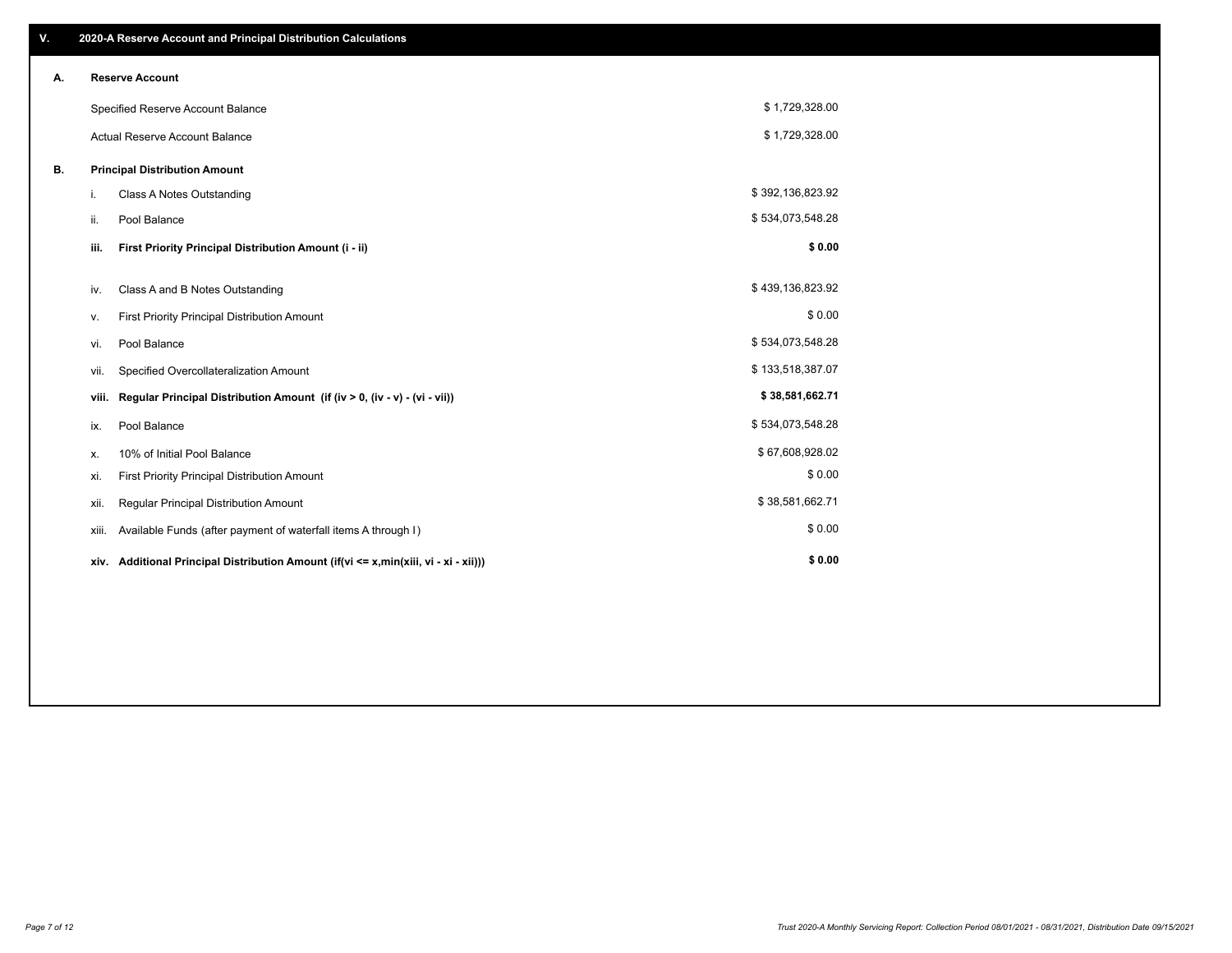| V. |       | 2020-A Reserve Account and Principal Distribution Calculations                  |                  |  |
|----|-------|---------------------------------------------------------------------------------|------------------|--|
| А. |       | <b>Reserve Account</b>                                                          |                  |  |
|    |       | Specified Reserve Account Balance                                               | \$1,729,328.00   |  |
|    |       | <b>Actual Reserve Account Balance</b>                                           | \$1,729,328.00   |  |
| В. |       | <b>Principal Distribution Amount</b>                                            |                  |  |
|    | i.    | Class A Notes Outstanding                                                       | \$392,136,823.92 |  |
|    | ii.   | Pool Balance                                                                    | \$534,073,548.28 |  |
|    | iii.  | First Priority Principal Distribution Amount (i - ii)                           | \$0.00           |  |
|    |       |                                                                                 | \$439,136,823.92 |  |
|    | iv.   | Class A and B Notes Outstanding                                                 |                  |  |
|    | v.    | First Priority Principal Distribution Amount                                    | \$0.00           |  |
|    | vi.   | Pool Balance                                                                    | \$534,073,548.28 |  |
|    | vii.  | Specified Overcollateralization Amount                                          | \$133,518,387.07 |  |
|    | viii. | Regular Principal Distribution Amount (if (iv > 0, (iv - v) - (vi - vii))       | \$38,581,662.71  |  |
|    | ix.   | Pool Balance                                                                    | \$534,073,548.28 |  |
|    | х.    | 10% of Initial Pool Balance                                                     | \$67,608,928.02  |  |
|    | xi.   | First Priority Principal Distribution Amount                                    | \$0.00           |  |
|    | xii.  | Regular Principal Distribution Amount                                           | \$38,581,662.71  |  |
|    | xiii. | Available Funds (after payment of waterfall items A through I)                  | \$0.00           |  |
|    | xiv.  | Additional Principal Distribution Amount (if(vi <= x,min(xiii, vi - xi - xii))) | \$0.00           |  |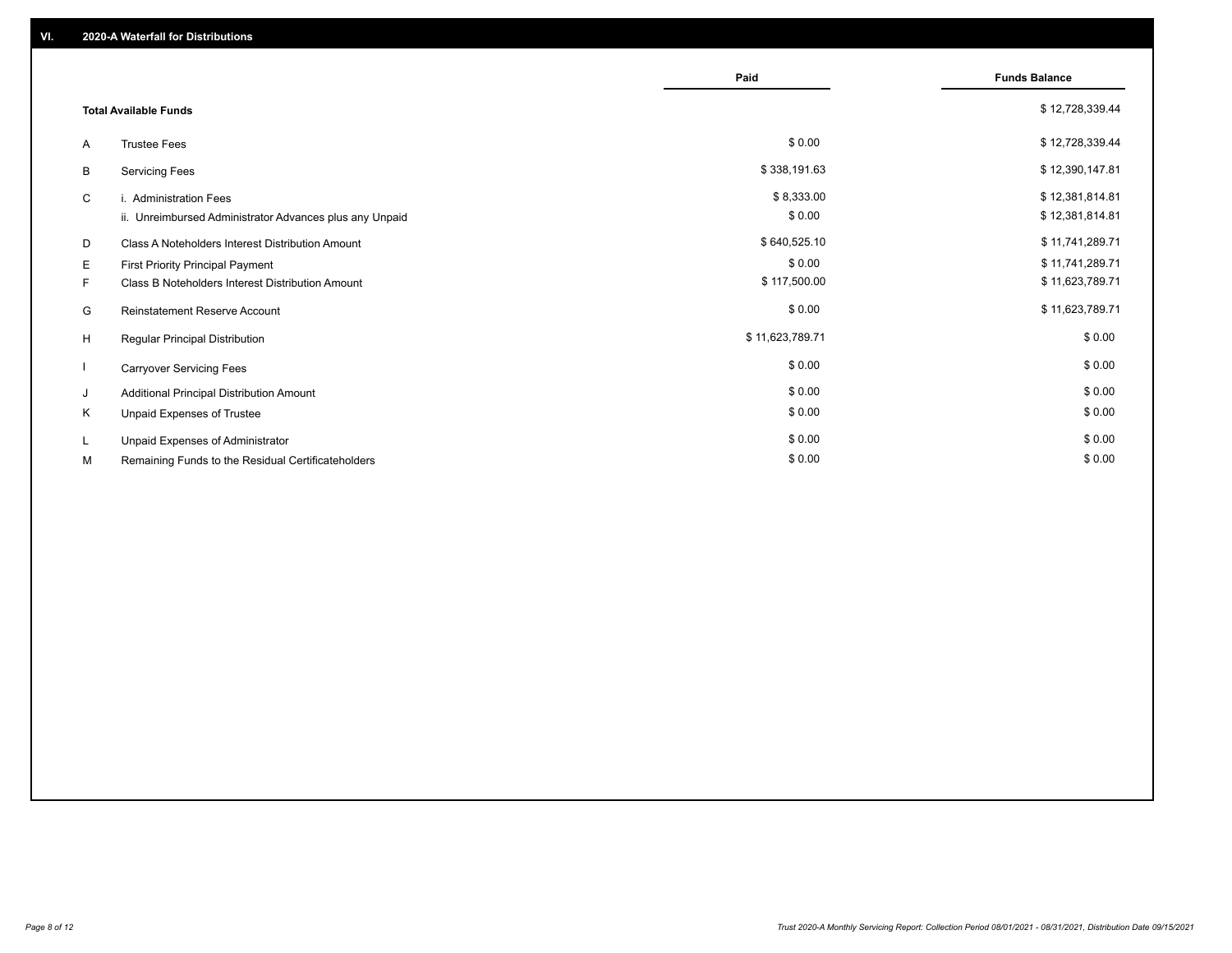|          |                                                                                      | Paid                   | <b>Funds Balance</b>               |
|----------|--------------------------------------------------------------------------------------|------------------------|------------------------------------|
|          | <b>Total Available Funds</b>                                                         |                        | \$12,728,339.44                    |
| A        | <b>Trustee Fees</b>                                                                  | \$0.00                 | \$12,728,339.44                    |
| В        | <b>Servicing Fees</b>                                                                | \$338,191.63           | \$12,390,147.81                    |
| C        | i. Administration Fees<br>ii. Unreimbursed Administrator Advances plus any Unpaid    | \$8,333.00<br>\$0.00   | \$12,381,814.81<br>\$12,381,814.81 |
| D        | Class A Noteholders Interest Distribution Amount                                     | \$640,525.10           | \$11,741,289.71                    |
| E.<br>F. | First Priority Principal Payment<br>Class B Noteholders Interest Distribution Amount | \$0.00<br>\$117,500.00 | \$11,741,289.71<br>\$11,623,789.71 |
| G        | Reinstatement Reserve Account                                                        | \$0.00                 | \$11,623,789.71                    |
| H        | <b>Regular Principal Distribution</b>                                                | \$11,623,789.71        | \$0.00                             |
|          | <b>Carryover Servicing Fees</b>                                                      | \$0.00                 | \$0.00                             |
| J        | Additional Principal Distribution Amount                                             | \$0.00                 | \$0.00                             |
| K        | Unpaid Expenses of Trustee                                                           | \$0.00                 | \$0.00                             |
| L.       | Unpaid Expenses of Administrator                                                     | \$0.00                 | \$0.00                             |
| М        | Remaining Funds to the Residual Certificateholders                                   | \$0.00                 | \$0.00                             |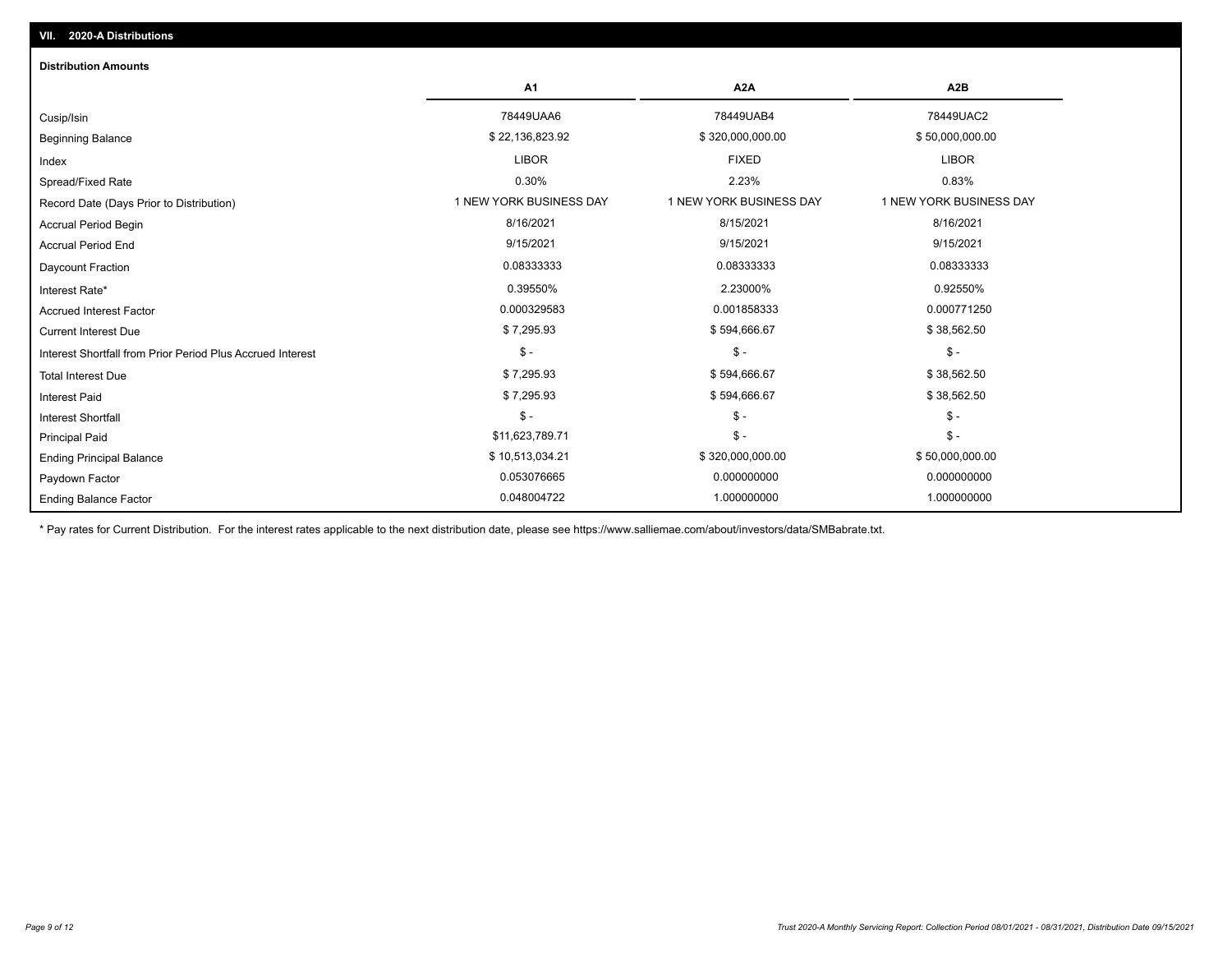| <b>Distribution Amounts</b>                                |                         |                         |                         |
|------------------------------------------------------------|-------------------------|-------------------------|-------------------------|
|                                                            | A <sub>1</sub>          | A <sub>2</sub> A        | A <sub>2</sub> B        |
| Cusip/Isin                                                 | 78449UAA6               | 78449UAB4               | 78449UAC2               |
| <b>Beginning Balance</b>                                   | \$22,136,823.92         | \$320,000,000.00        | \$50,000,000.00         |
| Index                                                      | <b>LIBOR</b>            | <b>FIXED</b>            | <b>LIBOR</b>            |
| Spread/Fixed Rate                                          | 0.30%                   | 2.23%                   | 0.83%                   |
| Record Date (Days Prior to Distribution)                   | 1 NEW YORK BUSINESS DAY | 1 NEW YORK BUSINESS DAY | 1 NEW YORK BUSINESS DAY |
| <b>Accrual Period Begin</b>                                | 8/16/2021               | 8/15/2021               | 8/16/2021               |
| <b>Accrual Period End</b>                                  | 9/15/2021               | 9/15/2021               | 9/15/2021               |
| Daycount Fraction                                          | 0.08333333              | 0.08333333              | 0.08333333              |
| Interest Rate*                                             | 0.39550%                | 2.23000%                | 0.92550%                |
| <b>Accrued Interest Factor</b>                             | 0.000329583             | 0.001858333             | 0.000771250             |
| <b>Current Interest Due</b>                                | \$7,295.93              | \$594,666.67            | \$38,562.50             |
| Interest Shortfall from Prior Period Plus Accrued Interest | $\mathsf{\$}$ -         | $\mathsf{\$}$ -         | $\mathsf{\$}$ -         |
| <b>Total Interest Due</b>                                  | \$7,295.93              | \$594,666.67            | \$38,562.50             |
| <b>Interest Paid</b>                                       | \$7,295.93              | \$594,666.67            | \$38,562.50             |
| Interest Shortfall                                         | $$ -$                   | $\mathsf{\$}$ -         | $\mathbb{S}$ -          |
| <b>Principal Paid</b>                                      | \$11,623,789.71         | $\mathsf{\$}$ -         | $\mathcal{S}$ -         |
| <b>Ending Principal Balance</b>                            | \$10,513,034.21         | \$320,000,000.00        | \$50,000,000.00         |
| Paydown Factor                                             | 0.053076665             | 0.000000000             | 0.000000000             |
| <b>Ending Balance Factor</b>                               | 0.048004722             | 1.000000000             | 1.000000000             |

\* Pay rates for Current Distribution. For the interest rates applicable to the next distribution date, please see https://www.salliemae.com/about/investors/data/SMBabrate.txt.

**VII. 2020-A Distributions**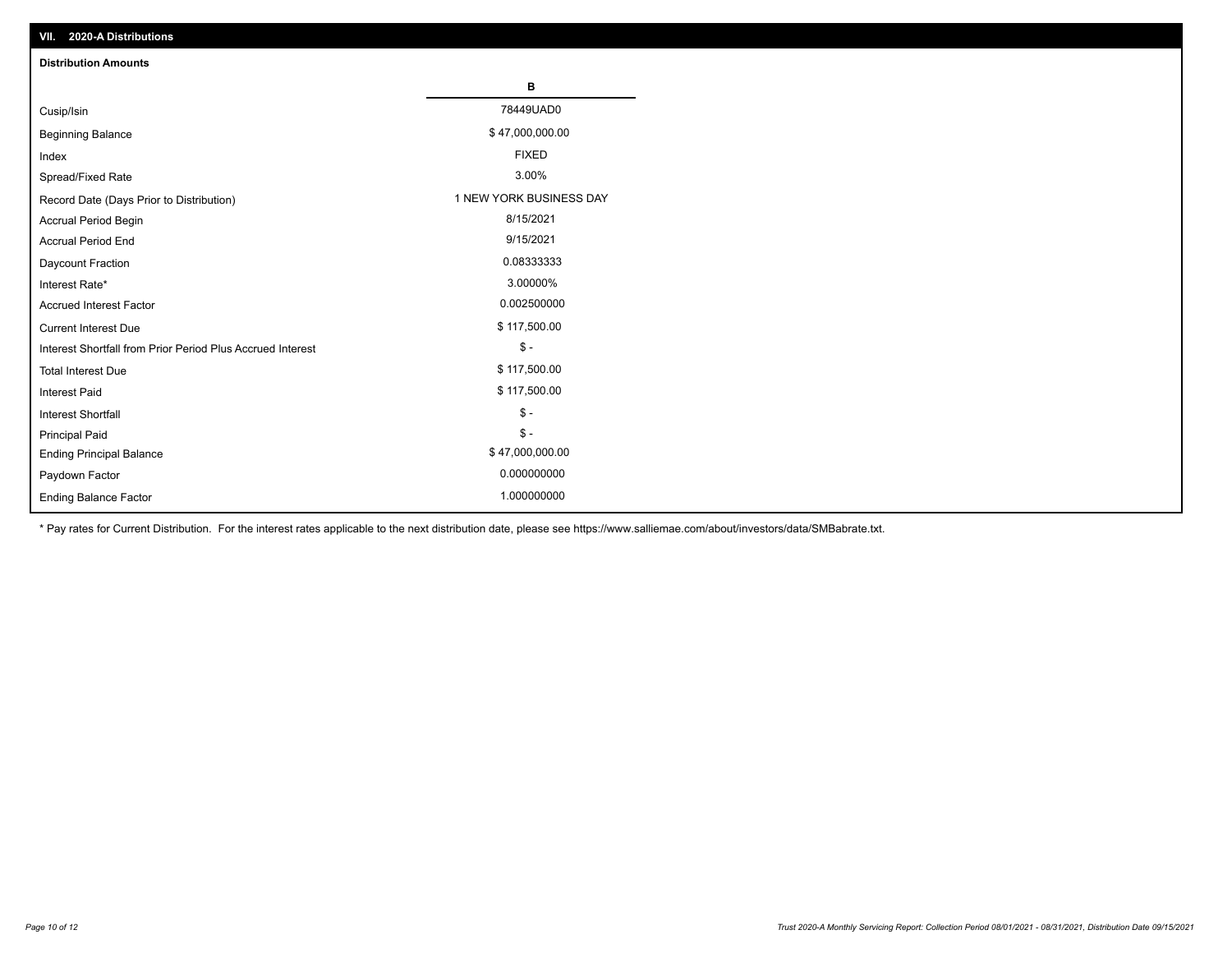| VII. 2020-A Distributions                                  |                         |
|------------------------------------------------------------|-------------------------|
| <b>Distribution Amounts</b>                                |                         |
|                                                            | в                       |
| Cusip/Isin                                                 | 78449UAD0               |
| <b>Beginning Balance</b>                                   | \$47,000,000.00         |
| Index                                                      | <b>FIXED</b>            |
| Spread/Fixed Rate                                          | 3.00%                   |
| Record Date (Days Prior to Distribution)                   | 1 NEW YORK BUSINESS DAY |
| <b>Accrual Period Begin</b>                                | 8/15/2021               |
| <b>Accrual Period End</b>                                  | 9/15/2021               |
| Daycount Fraction                                          | 0.08333333              |
| Interest Rate*                                             | 3.00000%                |
| <b>Accrued Interest Factor</b>                             | 0.002500000             |
| <b>Current Interest Due</b>                                | \$117,500.00            |
| Interest Shortfall from Prior Period Plus Accrued Interest | $\mathsf{\$}$ -         |
| <b>Total Interest Due</b>                                  | \$117,500.00            |
| <b>Interest Paid</b>                                       | \$117,500.00            |
| Interest Shortfall                                         | $\mathcal{S}$ -         |
| <b>Principal Paid</b>                                      | $\frac{1}{2}$           |
| <b>Ending Principal Balance</b>                            | \$47,000,000.00         |
| Paydown Factor                                             | 0.000000000             |
| <b>Ending Balance Factor</b>                               | 1.000000000             |

\* Pay rates for Current Distribution. For the interest rates applicable to the next distribution date, please see https://www.salliemae.com/about/investors/data/SMBabrate.txt.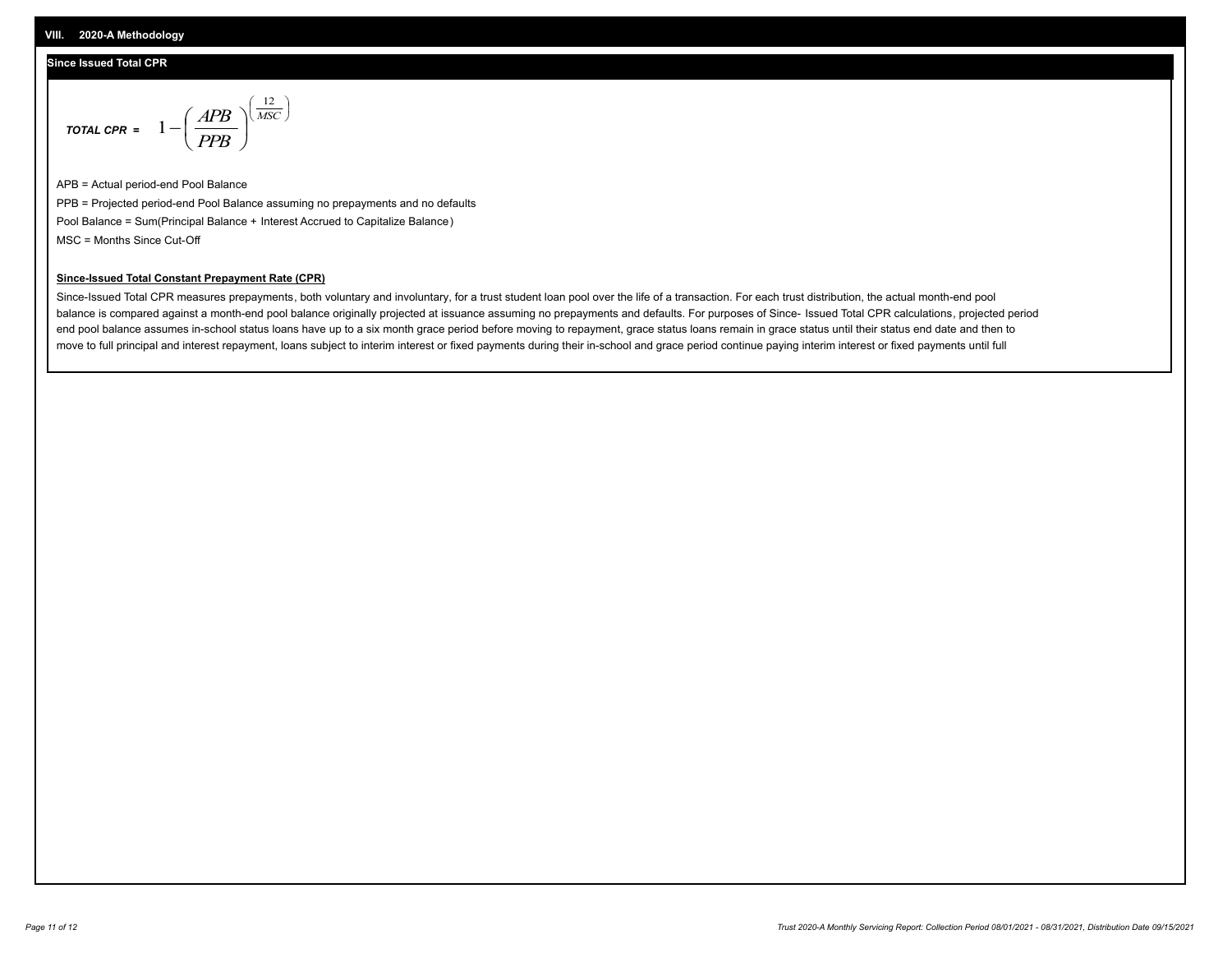## **Since Issued Total CPR**

$$
\text{total CPR} = 1 - \left(\frac{APB}{PPB}\right)^{\left(\frac{12}{MSC}\right)}
$$

APB = Actual period-end Pool Balance PPB = Projected period-end Pool Balance assuming no prepayments and no defaults Pool Balance = Sum(Principal Balance + Interest Accrued to Capitalize Balance) MSC = Months Since Cut-Off

### **Since-Issued Total Constant Prepayment Rate (CPR)**

Since-Issued Total CPR measures prepayments, both voluntary and involuntary, for a trust student loan pool over the life of a transaction. For each trust distribution, the actual month-end pool balance is compared against a month-end pool balance originally projected at issuance assuming no prepayments and defaults. For purposes of Since- Issued Total CPR calculations, projected period end pool balance assumes in-school status loans have up to a six month grace period before moving to repayment, grace status loans remain in grace status until their status end date and then to move to full principal and interest repayment, loans subject to interim interest or fixed payments during their in-school and grace period continue paying interim interest or fixed payments until full